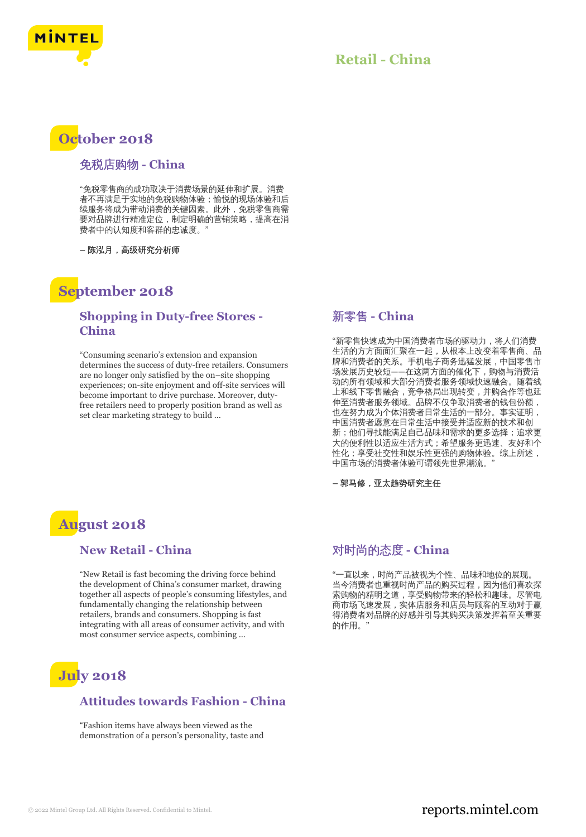

### **Retail - China**

## **October 2018**

#### 免税店购物 **- China**

"免税零售商的成功取决于消费场景的延伸和扩展。消费 者不再满足于实地的免税购物体验;愉悦的现场体验和后 续服务将成为带动消费的关键因素。此外,免税零售商需 要对品牌进行精准定位,制定明确的营销策略,提高在消 费者中的认知度和客群的忠诚度。"

**–** 陈泓月,高级研究分析师

### **September 2018**

### **Shopping in Duty-free Stores - China**

"Consuming scenario's extension and expansion determines the success of duty-free retailers. Consumers are no longer only satisfied by the on–site shopping experiences; on-site enjoyment and off-site services will become important to drive purchase. Moreover, dutyfree retailers need to properly position brand as well as set clear marketing strategy to build ...

### 新零售 **- China**

"新零售快速成为中国消费者市场的驱动力,将人们消费 生活的方方面面汇聚在一起,从根本上改变着零售商、品 牌和消费者的关系。手机电子商务迅猛发展,中国零售市 场发展历史较短——在这两方面的催化下,购物与消费活 动的所有领域和大部分消费者服务领域快速融合。随着线 上和线下零售融合,竞争格局出现转变,并购合作等也延 伸至消费者服务领域。品牌不仅争取消费者的钱包份额, 也在努力成为个体消费者日常生活的一部分。事实证明, 中国消费者愿意在日常生活中接受并适应新的技术和创 新;他们寻找能满足自己品味和需求的更多选择;追求更 大的便利性以适应生活方式;希望服务更迅速、友好和个 性化;享受社交性和娱乐性更强的购物体验。综上所述, 中国市场的消费者体验可谓领先世界潮流。"

**–** 郭马修,亚太趋势研究主任

## **August 2018**

#### **New Retail - China**

"New Retail is fast becoming the driving force behind the development of China's consumer market, drawing together all aspects of people's consuming lifestyles, and fundamentally changing the relationship between retailers, brands and consumers. Shopping is fast integrating with all areas of consumer activity, and with most consumer service aspects, combining ...

# **July 2018**

### **Attitudes towards Fashion - China**

"Fashion items have always been viewed as the demonstration of a person's personality, taste and

### 对时尚的态度 **- China**

"一直以来,时尚产品被视为个性、品味和地位的展现。 当今消费者也重视时尚产品的购买过程,因为他们喜欢探 索购物的精明之道,享受购物带来的轻松和趣味。尽管电 商市场飞速发展,实体店服务和店员与顾客的互动对于赢 得消费者对品牌的好感并引导其购买决策发挥着至关重要 的作用。"